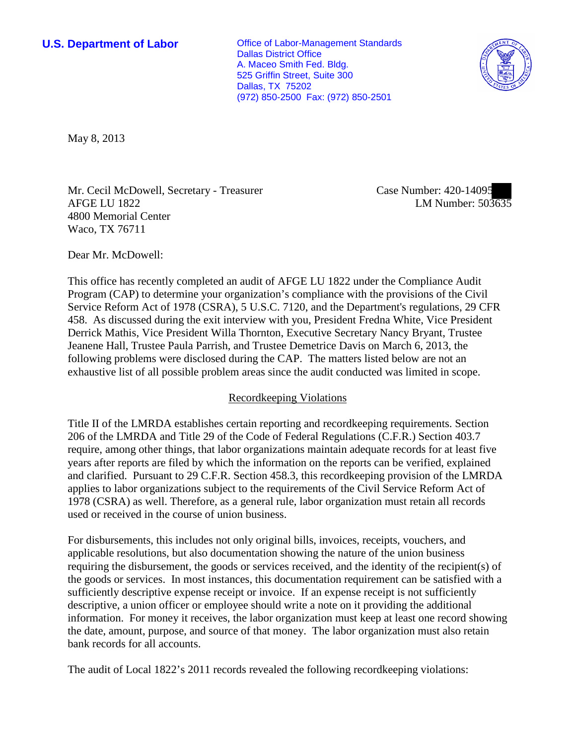**U.S. Department of Labor Office of Labor-Management Standards** Dallas District Office A. Maceo Smith Fed. Bldg. 525 Griffin Street, Suite 300 Dallas, TX 75202 (972) 850-2500 Fax: (972) 850-2501



May 8, 2013

Mr. Cecil McDowell, Secretary - Treasurer AFGE LU 1822 4800 Memorial Center Waco, TX 76711

Case Number: 420-14095 LM Number: 503635

Dear Mr. McDowell:

This office has recently completed an audit of AFGE LU 1822 under the Compliance Audit Program (CAP) to determine your organization's compliance with the provisions of the Civil Service Reform Act of 1978 (CSRA), 5 U.S.C. 7120, and the Department's regulations, 29 CFR 458. As discussed during the exit interview with you, President Fredna White, Vice President Derrick Mathis, Vice President Willa Thornton, Executive Secretary Nancy Bryant, Trustee Jeanene Hall, Trustee Paula Parrish, and Trustee Demetrice Davis on March 6, 2013, the following problems were disclosed during the CAP. The matters listed below are not an exhaustive list of all possible problem areas since the audit conducted was limited in scope.

## Recordkeeping Violations

Title II of the LMRDA establishes certain reporting and recordkeeping requirements. Section 206 of the LMRDA and Title 29 of the Code of Federal Regulations (C.F.R.) Section 403.7 require, among other things, that labor organizations maintain adequate records for at least five years after reports are filed by which the information on the reports can be verified, explained and clarified. Pursuant to 29 C.F.R. Section 458.3, this recordkeeping provision of the LMRDA applies to labor organizations subject to the requirements of the Civil Service Reform Act of 1978 (CSRA) as well. Therefore, as a general rule, labor organization must retain all records used or received in the course of union business.

For disbursements, this includes not only original bills, invoices, receipts, vouchers, and applicable resolutions, but also documentation showing the nature of the union business requiring the disbursement, the goods or services received, and the identity of the recipient(s) of the goods or services. In most instances, this documentation requirement can be satisfied with a sufficiently descriptive expense receipt or invoice. If an expense receipt is not sufficiently descriptive, a union officer or employee should write a note on it providing the additional information. For money it receives, the labor organization must keep at least one record showing the date, amount, purpose, and source of that money. The labor organization must also retain bank records for all accounts.

The audit of Local 1822's 2011 records revealed the following recordkeeping violations: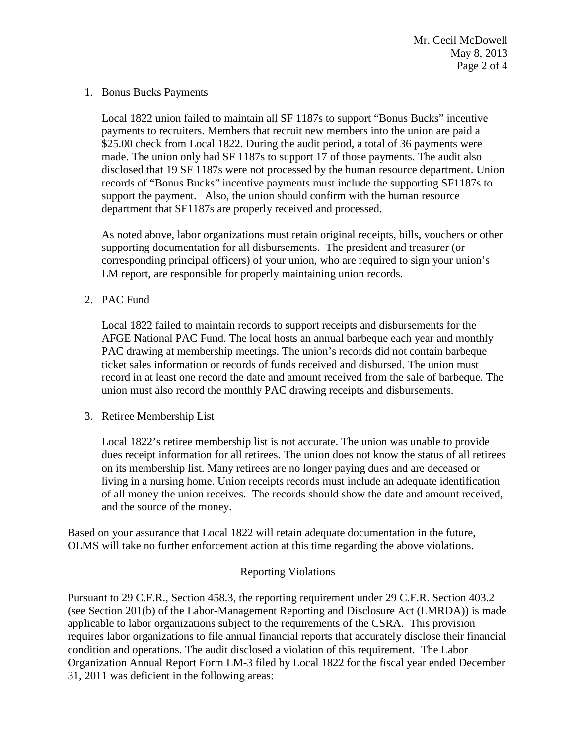#### 1. Bonus Bucks Payments

Local 1822 union failed to maintain all SF 1187s to support "Bonus Bucks" incentive payments to recruiters. Members that recruit new members into the union are paid a \$25.00 check from Local 1822. During the audit period, a total of 36 payments were made. The union only had SF 1187s to support 17 of those payments. The audit also disclosed that 19 SF 1187s were not processed by the human resource department. Union records of "Bonus Bucks" incentive payments must include the supporting SF1187s to support the payment. Also, the union should confirm with the human resource department that SF1187s are properly received and processed.

As noted above, labor organizations must retain original receipts, bills, vouchers or other supporting documentation for all disbursements. The president and treasurer (or corresponding principal officers) of your union, who are required to sign your union's LM report, are responsible for properly maintaining union records.

# 2. PAC Fund

Local 1822 failed to maintain records to support receipts and disbursements for the AFGE National PAC Fund. The local hosts an annual barbeque each year and monthly PAC drawing at membership meetings. The union's records did not contain barbeque ticket sales information or records of funds received and disbursed. The union must record in at least one record the date and amount received from the sale of barbeque. The union must also record the monthly PAC drawing receipts and disbursements.

## 3. Retiree Membership List

Local 1822's retiree membership list is not accurate. The union was unable to provide dues receipt information for all retirees. The union does not know the status of all retirees on its membership list. Many retirees are no longer paying dues and are deceased or living in a nursing home. Union receipts records must include an adequate identification of all money the union receives. The records should show the date and amount received, and the source of the money.

Based on your assurance that Local 1822 will retain adequate documentation in the future, OLMS will take no further enforcement action at this time regarding the above violations.

## Reporting Violations

Pursuant to 29 C.F.R., Section 458.3, the reporting requirement under 29 C.F.R. Section 403.2 (see Section 201(b) of the Labor-Management Reporting and Disclosure Act (LMRDA)) is made applicable to labor organizations subject to the requirements of the CSRA. This provision requires labor organizations to file annual financial reports that accurately disclose their financial condition and operations. The audit disclosed a violation of this requirement. The Labor Organization Annual Report Form LM-3 filed by Local 1822 for the fiscal year ended December 31, 2011 was deficient in the following areas: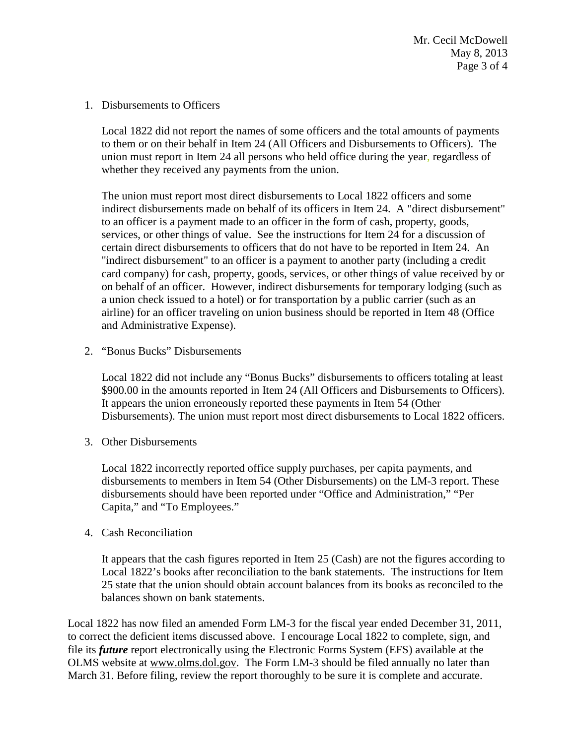1. Disbursements to Officers

Local 1822 did not report the names of some officers and the total amounts of payments to them or on their behalf in Item 24 (All Officers and Disbursements to Officers). The union must report in Item 24 all persons who held office during the year, regardless of whether they received any payments from the union.

The union must report most direct disbursements to Local 1822 officers and some indirect disbursements made on behalf of its officers in Item 24. A "direct disbursement" to an officer is a payment made to an officer in the form of cash, property, goods, services, or other things of value. See the instructions for Item 24 for a discussion of certain direct disbursements to officers that do not have to be reported in Item 24. An "indirect disbursement" to an officer is a payment to another party (including a credit card company) for cash, property, goods, services, or other things of value received by or on behalf of an officer. However, indirect disbursements for temporary lodging (such as a union check issued to a hotel) or for transportation by a public carrier (such as an airline) for an officer traveling on union business should be reported in Item 48 (Office and Administrative Expense).

2. "Bonus Bucks" Disbursements

Local 1822 did not include any "Bonus Bucks" disbursements to officers totaling at least \$900.00 in the amounts reported in Item 24 (All Officers and Disbursements to Officers). It appears the union erroneously reported these payments in Item 54 (Other Disbursements). The union must report most direct disbursements to Local 1822 officers.

3. Other Disbursements

Local 1822 incorrectly reported office supply purchases, per capita payments, and disbursements to members in Item 54 (Other Disbursements) on the LM-3 report. These disbursements should have been reported under "Office and Administration," "Per Capita," and "To Employees."

4. Cash Reconciliation

It appears that the cash figures reported in Item 25 (Cash) are not the figures according to Local 1822's books after reconciliation to the bank statements. The instructions for Item 25 state that the union should obtain account balances from its books as reconciled to the balances shown on bank statements.

Local 1822 has now filed an amended Form LM-3 for the fiscal year ended December 31, 2011, to correct the deficient items discussed above. I encourage Local 1822 to complete, sign, and file its *future* report electronically using the Electronic Forms System (EFS) available at the OLMS website at [www.olms.dol.gov.](http://www.olms.dol.gov/) The Form LM-3 should be filed annually no later than March 31. Before filing, review the report thoroughly to be sure it is complete and accurate.